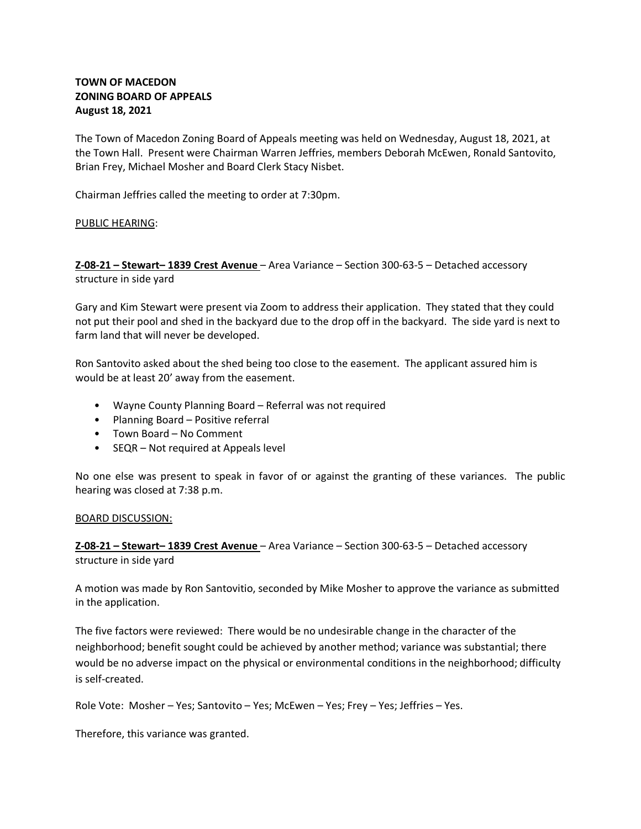# **TOWN OF MACEDON ZONING BOARD OF APPEALS August 18, 2021**

The Town of Macedon Zoning Board of Appeals meeting was held on Wednesday, August 18, 2021, at the Town Hall. Present were Chairman Warren Jeffries, members Deborah McEwen, Ronald Santovito, Brian Frey, Michael Mosher and Board Clerk Stacy Nisbet.

Chairman Jeffries called the meeting to order at 7:30pm.

## PUBLIC HEARING:

**Z-08-21 – Stewart– 1839 Crest Avenue** – Area Variance – Section 300-63-5 – Detached accessory structure in side yard

Gary and Kim Stewart were present via Zoom to address their application. They stated that they could not put their pool and shed in the backyard due to the drop off in the backyard. The side yard is next to farm land that will never be developed.

Ron Santovito asked about the shed being too close to the easement. The applicant assured him is would be at least 20' away from the easement.

- Wayne County Planning Board Referral was not required
- Planning Board Positive referral
- Town Board No Comment
- SEQR Not required at Appeals level

No one else was present to speak in favor of or against the granting of these variances. The public hearing was closed at 7:38 p.m.

#### BOARD DISCUSSION:

**Z-08-21 – Stewart– 1839 Crest Avenue** – Area Variance – Section 300-63-5 – Detached accessory structure in side yard

A motion was made by Ron Santovitio, seconded by Mike Mosher to approve the variance as submitted in the application.

The five factors were reviewed: There would be no undesirable change in the character of the neighborhood; benefit sought could be achieved by another method; variance was substantial; there would be no adverse impact on the physical or environmental conditions in the neighborhood; difficulty is self-created.

Role Vote: Mosher – Yes; Santovito – Yes; McEwen – Yes; Frey – Yes; Jeffries – Yes.

Therefore, this variance was granted.